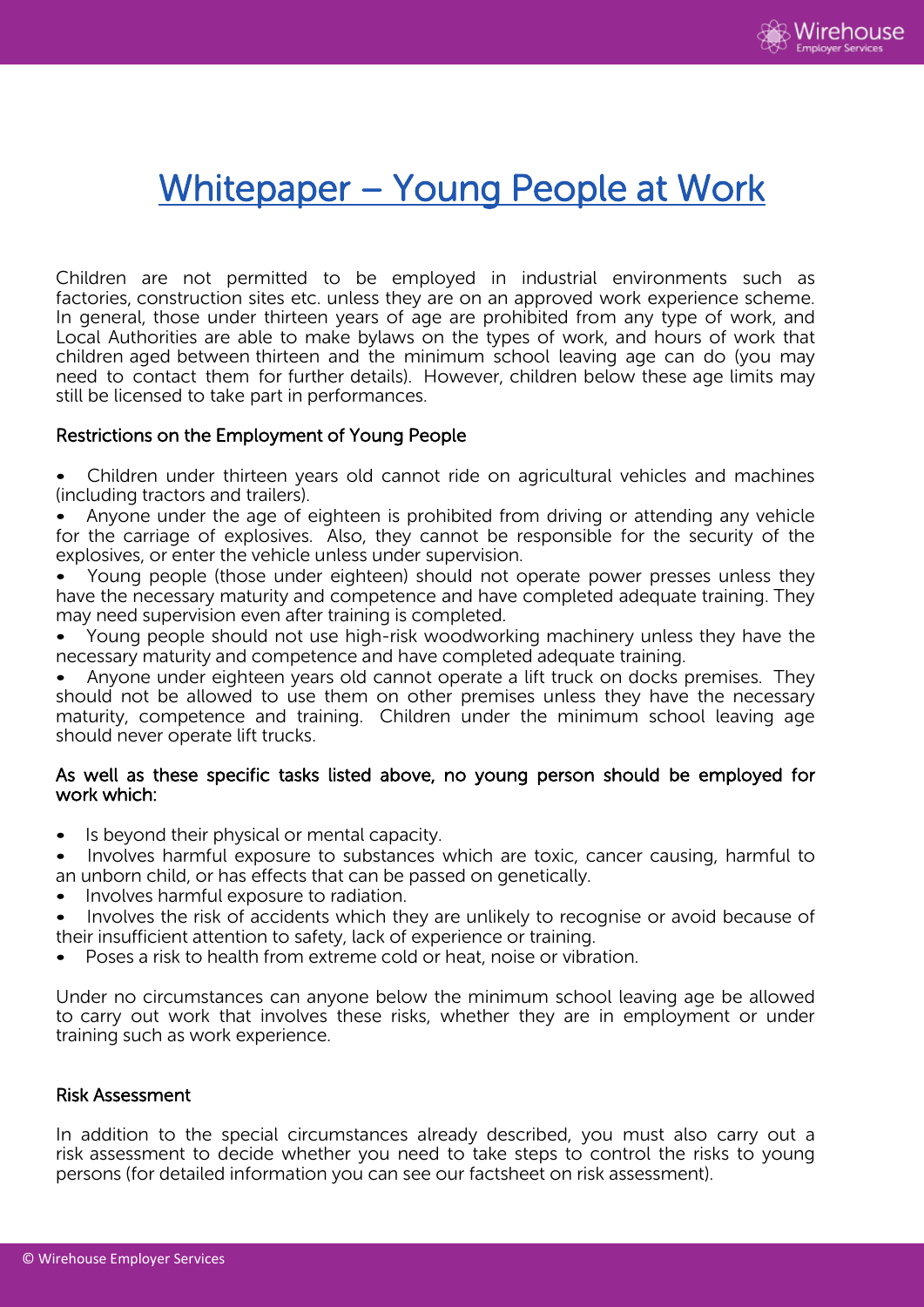

# Whitepaper – Young People at Work

Children are not permitted to be employed in industrial environments such as factories, construction sites etc. unless they are on an approved work experience scheme. In general, those under thirteen years of age are prohibited from any type of work, and Local Authorities are able to make bylaws on the types of work, and hours of work that children aged between thirteen and the minimum school leaving age can do (you may need to contact them for further details). However, children below these age limits may still be licensed to take part in performances.

### Restrictions on the Employment of Young People

- Children under thirteen years old cannot ride on agricultural vehicles and machines (including tractors and trailers).
- Anyone under the age of eighteen is prohibited from driving or attending any vehicle for the carriage of explosives. Also, they cannot be responsible for the security of the explosives, or enter the vehicle unless under supervision.
- Young people (those under eighteen) should not operate power presses unless they have the necessary maturity and competence and have completed adequate training. They may need supervision even after training is completed.
- Young people should not use high-risk woodworking machinery unless they have the necessary maturity and competence and have completed adequate training.
- Anyone under eighteen years old cannot operate a lift truck on docks premises. They should not be allowed to use them on other premises unless they have the necessary maturity, competence and training. Children under the minimum school leaving age should never operate lift trucks.

### As well as these specific tasks listed above, no young person should be employed for work which:

- Is beyond their physical or mental capacity.
- Involves harmful exposure to substances which are toxic, cancer causing, harmful to an unborn child, or has effects that can be passed on genetically.
- Involves harmful exposure to radiation.
- Involves the risk of accidents which they are unlikely to recognise or avoid because of their insufficient attention to safety, lack of experience or training.
- Poses a risk to health from extreme cold or heat, noise or vibration.

Under no circumstances can anyone below the minimum school leaving age be allowed to carry out work that involves these risks, whether they are in employment or under training such as work experience.

## Risk Assessment

In addition to the special circumstances already described, you must also carry out a risk assessment to decide whether you need to take steps to control the risks to young persons (for detailed information you can see our factsheet on risk assessment).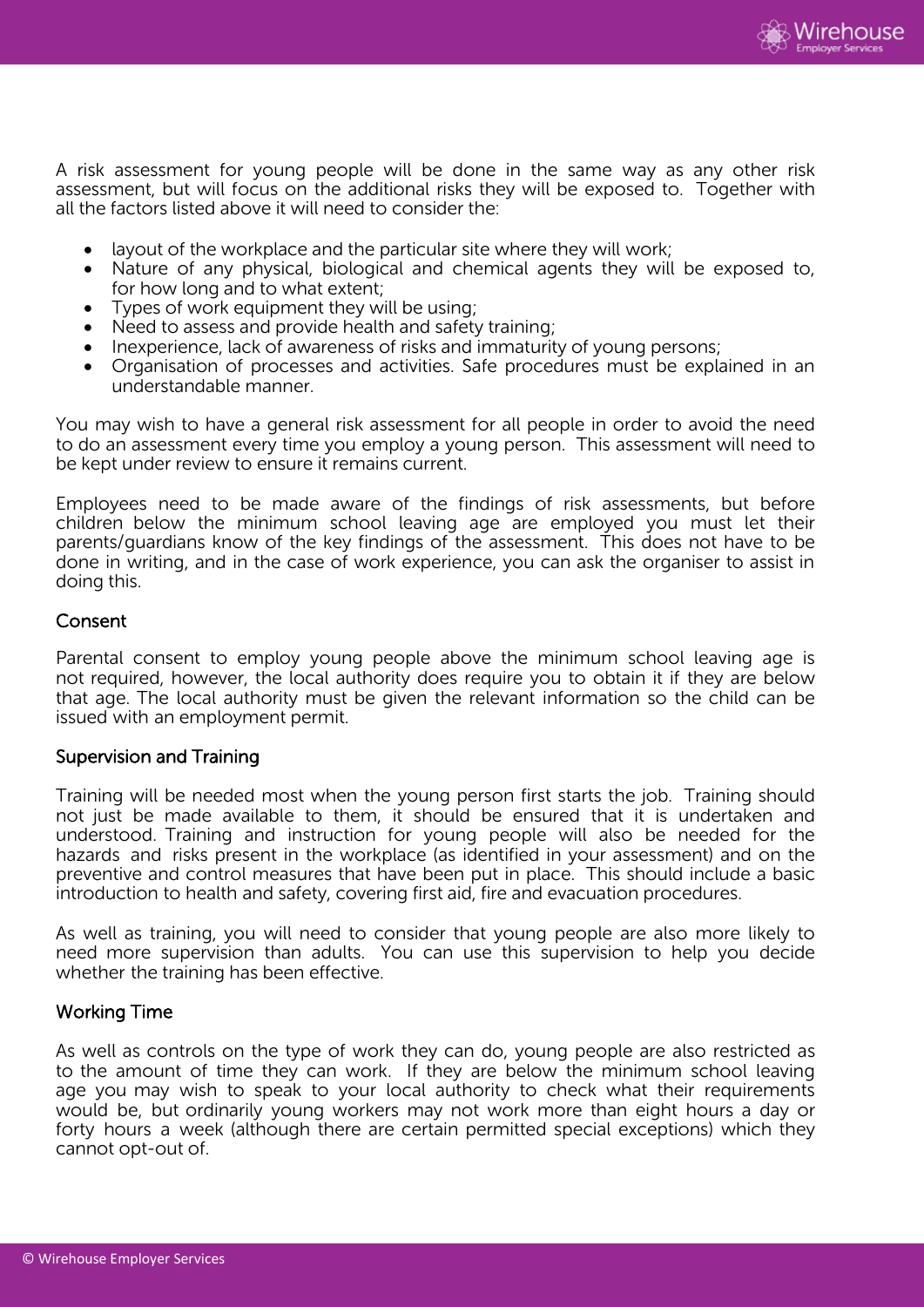

A risk assessment for young people will be done in the same way as any other risk assessment, but will focus on the additional risks they will be exposed to. Together with all the factors listed above it will need to consider the:

- layout of the workplace and the particular site where they will work;
- Nature of any physical, biological and chemical agents they will be exposed to, for how long and to what extent;
- Types of work equipment they will be using;
- Need to assess and provide health and safety training;
- Inexperience, lack of awareness of risks and immaturity of young persons;
- Organisation of processes and activities. Safe procedures must be explained in an understandable manner.

You may wish to have a general risk assessment for all people in order to avoid the need to do an assessment every time you employ a young person. This assessment will need to be kept under review to ensure it remains current.

Employees need to be made aware of the findings of risk assessments, but before children below the minimum school leaving age are employed you must let their parents/guardians know of the key findings of the assessment. This does not have to be done in writing, and in the case of work experience, you can ask the organiser to assist in doing this.

### Consent

Parental consent to employ young people above the minimum school leaving age is not required, however, the local authority does require you to obtain it if they are below that age. The local authority must be given the relevant information so the child can be issued with an employment permit.

#### Supervision and Training

Training will be needed most when the young person first starts the job. Training should not just be made available to them, it should be ensured that it is undertaken and understood. Training and instruction for young people will also be needed for the hazards and risks present in the workplace (as identified in your assessment) and on the preventive and control measures that have been put in place. This should include a basic introduction to health and safety, covering first aid, fire and evacuation procedures.

As well as training, you will need to consider that young people are also more likely to need more supervision than adults. You can use this supervision to help you decide whether the training has been effective.

### Working Time

As well as controls on the type of work they can do, young people are also restricted as to the amount of time they can work. If they are below the minimum school leaving age you may wish to speak to your local authority to check what their requirements would be, but ordinarily young workers may not work more than eight hours a day or forty hours a week (although there are certain permitted special exceptions) which they cannot opt-out of.